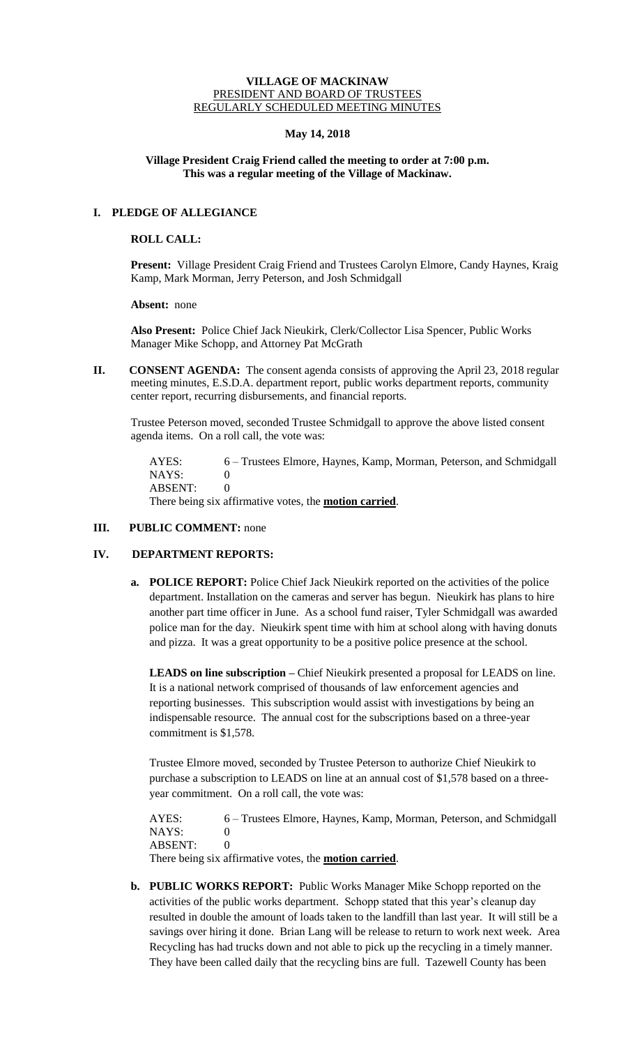#### **VILLAGE OF MACKINAW** PRESIDENT AND BOARD OF TRUSTEES REGULARLY SCHEDULED MEETING MINUTES

# **May 14, 2018**

# **Village President Craig Friend called the meeting to order at 7:00 p.m. This was a regular meeting of the Village of Mackinaw.**

# **I. PLEDGE OF ALLEGIANCE**

### **ROLL CALL:**

**Present:** Village President Craig Friend and Trustees Carolyn Elmore, Candy Haynes, Kraig Kamp, Mark Morman, Jerry Peterson, and Josh Schmidgall

**Absent:** none

**Also Present:** Police Chief Jack Nieukirk, Clerk/Collector Lisa Spencer, Public Works Manager Mike Schopp, and Attorney Pat McGrath

**II.** CONSENT AGENDA: The consent agenda consists of approving the April 23, 2018 regular meeting minutes, E.S.D.A. department report, public works department reports, community center report, recurring disbursements, and financial reports.

Trustee Peterson moved, seconded Trustee Schmidgall to approve the above listed consent agenda items. On a roll call, the vote was:

AYES: 6 – Trustees Elmore, Haynes, Kamp, Morman, Peterson, and Schmidgall NAYS: 0 ABSENT: 0 There being six affirmative votes, the **motion carried**.

# **III.** PUBLIC COMMENT: none

# **IV. DEPARTMENT REPORTS:**

**a. POLICE REPORT:** Police Chief Jack Nieukirk reported on the activities of the police department. Installation on the cameras and server has begun. Nieukirk has plans to hire another part time officer in June. As a school fund raiser, Tyler Schmidgall was awarded police man for the day. Nieukirk spent time with him at school along with having donuts and pizza. It was a great opportunity to be a positive police presence at the school.

**LEADS on line subscription –** Chief Nieukirk presented a proposal for LEADS on line. It is a national network comprised of thousands of law enforcement agencies and reporting businesses. This subscription would assist with investigations by being an indispensable resource. The annual cost for the subscriptions based on a three-year commitment is \$1,578.

Trustee Elmore moved, seconded by Trustee Peterson to authorize Chief Nieukirk to purchase a subscription to LEADS on line at an annual cost of \$1,578 based on a threeyear commitment. On a roll call, the vote was:

AYES: 6 – Trustees Elmore, Haynes, Kamp, Morman, Peterson, and Schmidgall NAYS: 0 ABSENT: 0

There being six affirmative votes, the **motion carried**.

**b. PUBLIC WORKS REPORT:** Public Works Manager Mike Schopp reported on the activities of the public works department. Schopp stated that this year's cleanup day resulted in double the amount of loads taken to the landfill than last year. It will still be a savings over hiring it done. Brian Lang will be release to return to work next week. Area Recycling has had trucks down and not able to pick up the recycling in a timely manner. They have been called daily that the recycling bins are full. Tazewell County has been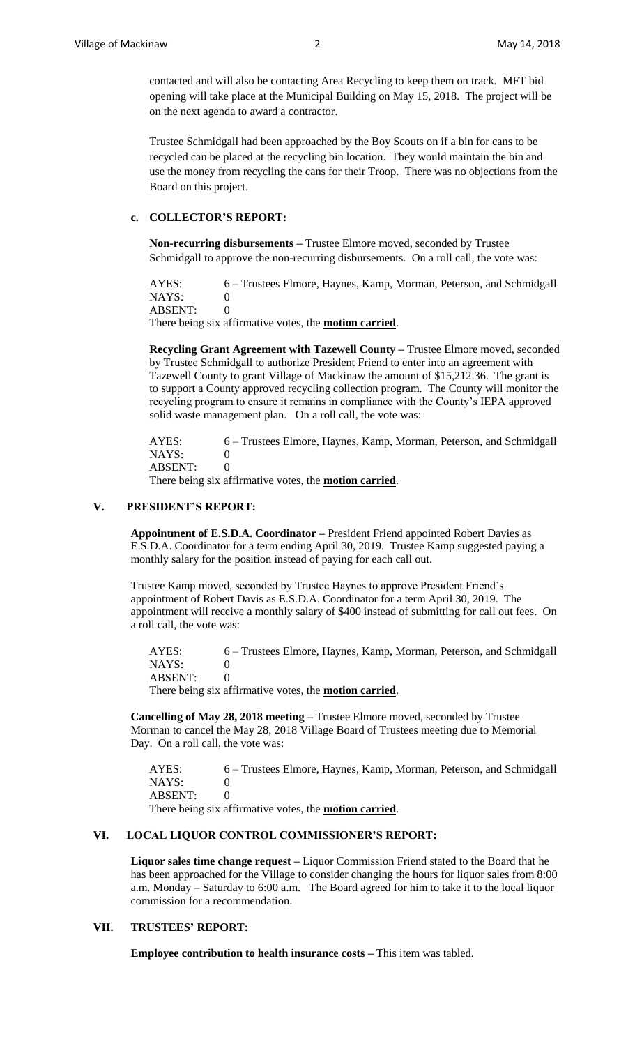contacted and will also be contacting Area Recycling to keep them on track. MFT bid opening will take place at the Municipal Building on May 15, 2018. The project will be on the next agenda to award a contractor.

Trustee Schmidgall had been approached by the Boy Scouts on if a bin for cans to be recycled can be placed at the recycling bin location. They would maintain the bin and use the money from recycling the cans for their Troop. There was no objections from the Board on this project.

### **c. COLLECTOR'S REPORT:**

**Non-recurring disbursements –** Trustee Elmore moved, seconded by Trustee Schmidgall to approve the non-recurring disbursements. On a roll call, the vote was:

AYES: 6 – Trustees Elmore, Haynes, Kamp, Morman, Peterson, and Schmidgall NAYS: 0

ABSENT: 0

There being six affirmative votes, the **motion carried**.

**Recycling Grant Agreement with Tazewell County –** Trustee Elmore moved, seconded by Trustee Schmidgall to authorize President Friend to enter into an agreement with Tazewell County to grant Village of Mackinaw the amount of \$15,212.36. The grant is to support a County approved recycling collection program. The County will monitor the recycling program to ensure it remains in compliance with the County's IEPA approved solid waste management plan. On a roll call, the vote was:

AYES: 6 – Trustees Elmore, Haynes, Kamp, Morman, Peterson, and Schmidgall NAYS: 0 ABSENT: 0

There being six affirmative votes, the **motion carried**.

# **V. PRESIDENT'S REPORT:**

**Appointment of E.S.D.A. Coordinator –** President Friend appointed Robert Davies as E.S.D.A. Coordinator for a term ending April 30, 2019. Trustee Kamp suggested paying a monthly salary for the position instead of paying for each call out.

Trustee Kamp moved, seconded by Trustee Haynes to approve President Friend's appointment of Robert Davis as E.S.D.A. Coordinator for a term April 30, 2019. The appointment will receive a monthly salary of \$400 instead of submitting for call out fees. On a roll call, the vote was:

AYES: 6 – Trustees Elmore, Haynes, Kamp, Morman, Peterson, and Schmidgall NAYS: 0 ABSENT: 0

There being six affirmative votes, the **motion carried**.

**Cancelling of May 28, 2018 meeting –** Trustee Elmore moved, seconded by Trustee Morman to cancel the May 28, 2018 Village Board of Trustees meeting due to Memorial Day. On a roll call, the vote was:

AYES: 6 – Trustees Elmore, Haynes, Kamp, Morman, Peterson, and Schmidgall NAYS: 0 ABSENT: 0

There being six affirmative votes, the **motion carried**.

### **VI. LOCAL LIQUOR CONTROL COMMISSIONER'S REPORT:**

**Liquor sales time change request –** Liquor Commission Friend stated to the Board that he has been approached for the Village to consider changing the hours for liquor sales from 8:00 a.m. Monday – Saturday to 6:00 a.m. The Board agreed for him to take it to the local liquor commission for a recommendation.

## **VII. TRUSTEES' REPORT:**

**Employee contribution to health insurance costs –** This item was tabled.